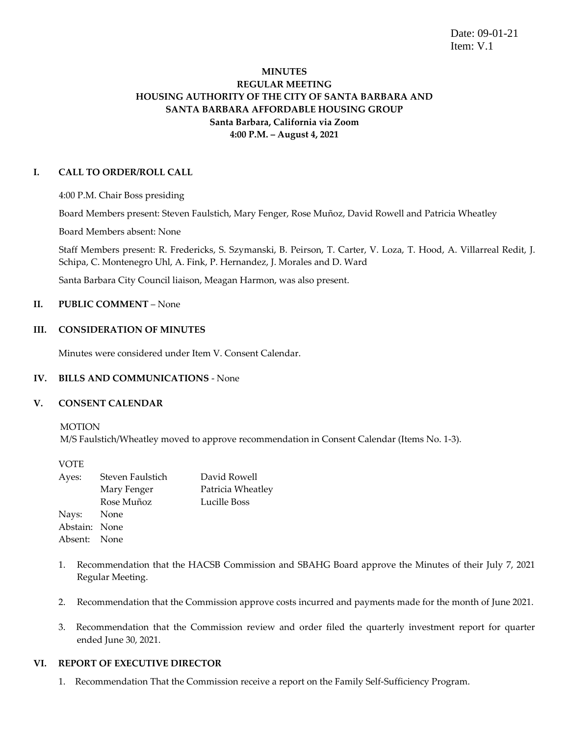Date: 09-01-21 Item: V.1

# **MINUTES REGULAR MEETING HOUSING AUTHORITY OF THE CITY OF SANTA BARBARA AND SANTA BARBARA AFFORDABLE HOUSING GROUP Santa Barbara, California via Zoom 4:00 P.M. – August 4, 2021**

### **I. CALL TO ORDER/ROLL CALL**

4:00 P.M. Chair Boss presiding

Board Members present: Steven Faulstich, Mary Fenger, Rose Muñoz, David Rowell and Patricia Wheatley

Board Members absent: None

Staff Members present: R. Fredericks, S. Szymanski, B. Peirson, T. Carter, V. Loza, T. Hood, A. Villarreal Redit, J. Schipa, C. Montenegro Uhl, A. Fink, P. Hernandez, J. Morales and D. Ward

Santa Barbara City Council liaison, Meagan Harmon, was also present.

# **II. PUBLIC COMMENT** – None

### **III. CONSIDERATION OF MINUTES**

Minutes were considered under Item V. Consent Calendar.

#### **IV. BILLS AND COMMUNICATIONS** - None

#### **V. CONSENT CALENDAR**

MOTION

M/S Faulstich/Wheatley moved to approve recommendation in Consent Calendar (Items No. 1-3).

VOTE

| Ayes:         | Steven Faulstich | David Rowell      |
|---------------|------------------|-------------------|
|               | Mary Fenger      | Patricia Wheatley |
|               | Rose Muñoz       | Lucille Boss      |
| Nays: None    |                  |                   |
| Abstain: None |                  |                   |
| Absent: None  |                  |                   |
|               |                  |                   |

- 1. Recommendation that the HACSB Commission and SBAHG Board approve the Minutes of their July 7, 2021 Regular Meeting.
- 2. Recommendation that the Commission approve costs incurred and payments made for the month of June 2021.
- 3. Recommendation that the Commission review and order filed the quarterly investment report for quarter ended June 30, 2021.

### **VI. REPORT OF EXECUTIVE DIRECTOR**

1. Recommendation That the Commission receive a report on the Family Self-Sufficiency Program.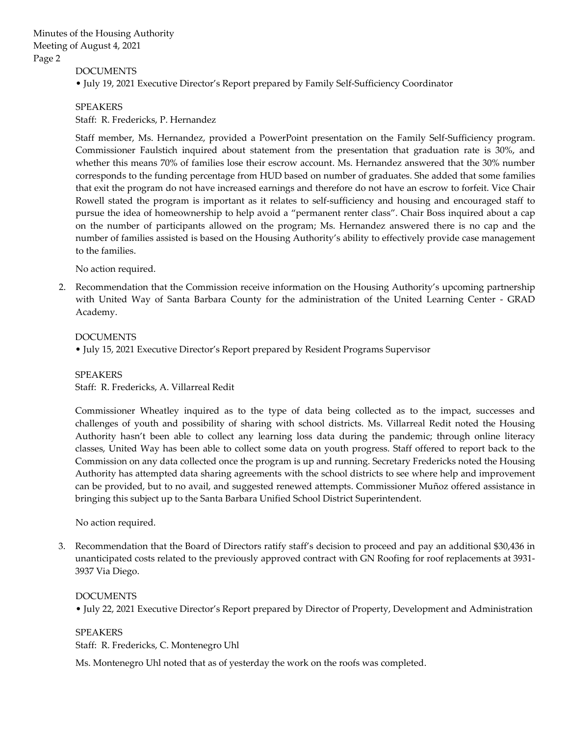DOCUMENTS

• July 19, 2021 Executive Director's Report prepared by Family Self-Sufficiency Coordinator

SPEAKERS Staff: R. Fredericks, P. Hernandez

Staff member, Ms. Hernandez, provided a PowerPoint presentation on the Family Self-Sufficiency program. Commissioner Faulstich inquired about statement from the presentation that graduation rate is 30%, and whether this means 70% of families lose their escrow account. Ms. Hernandez answered that the 30% number corresponds to the funding percentage from HUD based on number of graduates. She added that some families that exit the program do not have increased earnings and therefore do not have an escrow to forfeit. Vice Chair Rowell stated the program is important as it relates to self-sufficiency and housing and encouraged staff to pursue the idea of homeownership to help avoid a "permanent renter class". Chair Boss inquired about a cap on the number of participants allowed on the program; Ms. Hernandez answered there is no cap and the number of families assisted is based on the Housing Authority's ability to effectively provide case management to the families.

No action required.

2. Recommendation that the Commission receive information on the Housing Authority's upcoming partnership with United Way of Santa Barbara County for the administration of the United Learning Center - GRAD Academy.

#### DOCUMENTS

• July 15, 2021 Executive Director's Report prepared by Resident Programs Supervisor

SPEAKERS

Staff: R. Fredericks, A. Villarreal Redit

Commissioner Wheatley inquired as to the type of data being collected as to the impact, successes and challenges of youth and possibility of sharing with school districts. Ms. Villarreal Redit noted the Housing Authority hasn't been able to collect any learning loss data during the pandemic; through online literacy classes, United Way has been able to collect some data on youth progress. Staff offered to report back to the Commission on any data collected once the program is up and running. Secretary Fredericks noted the Housing Authority has attempted data sharing agreements with the school districts to see where help and improvement can be provided, but to no avail, and suggested renewed attempts. Commissioner Muñoz offered assistance in bringing this subject up to the Santa Barbara Unified School District Superintendent.

No action required.

3. Recommendation that the Board of Directors ratify staff's decision to proceed and pay an additional \$30,436 in unanticipated costs related to the previously approved contract with GN Roofing for roof replacements at 3931- 3937 Via Diego.

#### DOCUMENTS

• July 22, 2021 Executive Director's Report prepared by Director of Property, Development and Administration

SPEAKERS Staff: R. Fredericks, C. Montenegro Uhl

Ms. Montenegro Uhl noted that as of yesterday the work on the roofs was completed.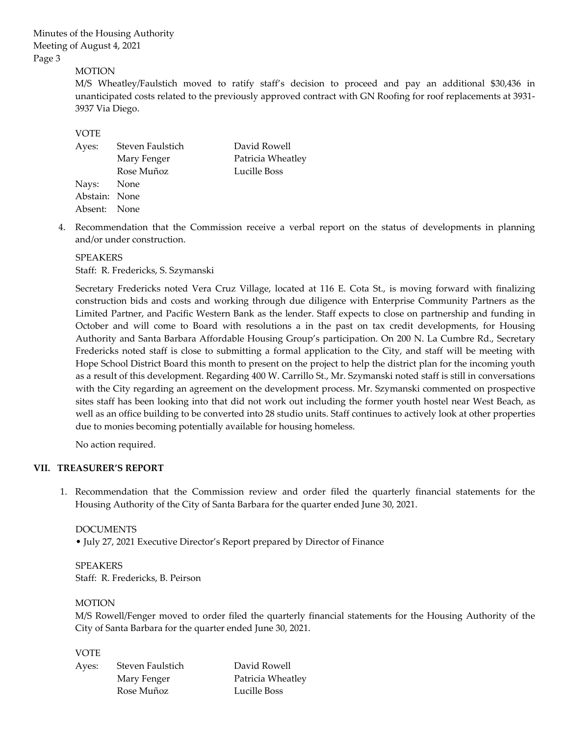Minutes of the Housing Authority Meeting of August 4, 2021 Page 3

# MOTION

M/S Wheatley/Faulstich moved to ratify staff's decision to proceed and pay an additional \$30,436 in unanticipated costs related to the previously approved contract with GN Roofing for roof replacements at 3931- 3937 Via Diego.

### VOTE

| Ayes:         | Steven Faulstich | David Rowell      |
|---------------|------------------|-------------------|
|               | Mary Fenger      | Patricia Wheatley |
|               | Rose Muñoz       | Lucille Boss      |
| Nays: None    |                  |                   |
| Abstain: None |                  |                   |
| Absent: None  |                  |                   |
|               |                  |                   |

4. Recommendation that the Commission receive a verbal report on the status of developments in planning and/or under construction.

#### SPEAKERS

Staff: R. Fredericks, S. Szymanski

Secretary Fredericks noted Vera Cruz Village, located at 116 E. Cota St., is moving forward with finalizing construction bids and costs and working through due diligence with Enterprise Community Partners as the Limited Partner, and Pacific Western Bank as the lender. Staff expects to close on partnership and funding in October and will come to Board with resolutions a in the past on tax credit developments, for Housing Authority and Santa Barbara Affordable Housing Group's participation. On 200 N. La Cumbre Rd., Secretary Fredericks noted staff is close to submitting a formal application to the City, and staff will be meeting with Hope School District Board this month to present on the project to help the district plan for the incoming youth as a result of this development. Regarding 400 W. Carrillo St., Mr. Szymanski noted staff is still in conversations with the City regarding an agreement on the development process. Mr. Szymanski commented on prospective sites staff has been looking into that did not work out including the former youth hostel near West Beach, as well as an office building to be converted into 28 studio units. Staff continues to actively look at other properties due to monies becoming potentially available for housing homeless.

No action required.

# **VII. TREASURER'S REPORT**

1. Recommendation that the Commission review and order filed the quarterly financial statements for the Housing Authority of the City of Santa Barbara for the quarter ended June 30, 2021.

#### DOCUMENTS

• July 27, 2021 Executive Director's Report prepared by Director of Finance

SPEAKERS Staff: R. Fredericks, B. Peirson

#### **MOTION**

M/S Rowell/Fenger moved to order filed the quarterly financial statements for the Housing Authority of the City of Santa Barbara for the quarter ended June 30, 2021.

#### VOTE

| Ayes: | Steven Faulstich | David Rowell      |
|-------|------------------|-------------------|
|       | Mary Fenger      | Patricia Wheatley |
|       | Rose Muñoz       | Lucille Boss      |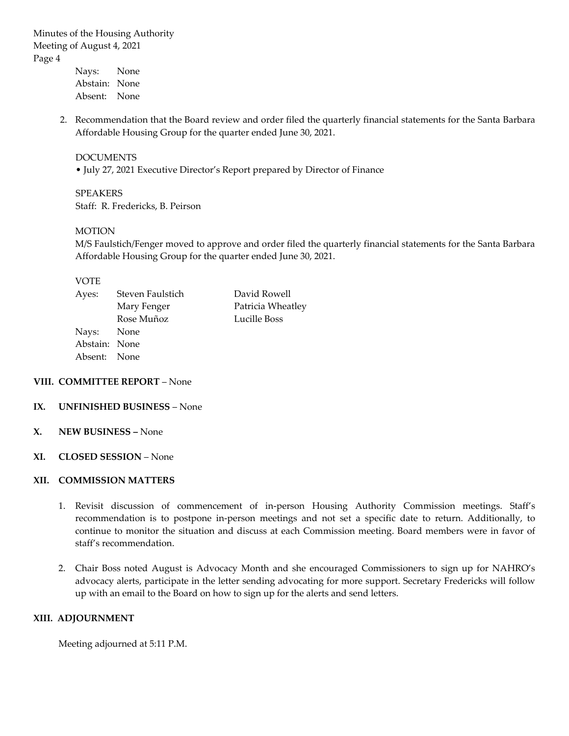Minutes of the Housing Authority Meeting of August 4, 2021 Page 4

Nays: None Abstain: None Absent: None

2. Recommendation that the Board review and order filed the quarterly financial statements for the Santa Barbara Affordable Housing Group for the quarter ended June 30, 2021.

### DOCUMENTS

• July 27, 2021 Executive Director's Report prepared by Director of Finance

SPEAKERS Staff: R. Fredericks, B. Peirson

#### MOTION

M/S Faulstich/Fenger moved to approve and order filed the quarterly financial statements for the Santa Barbara Affordable Housing Group for the quarter ended June 30, 2021.

### VOTE

| Patricia Wheatley |
|-------------------|
|                   |
|                   |
|                   |
|                   |
|                   |

### **VIII. COMMITTEE REPORT** – None

# **IX. UNFINISHED BUSINESS** – None

**X. NEW BUSINESS –** None

#### **XI. CLOSED SESSION** – None

# **XII. COMMISSION MATTERS**

- 1. Revisit discussion of commencement of in-person Housing Authority Commission meetings. Staff's recommendation is to postpone in-person meetings and not set a specific date to return. Additionally, to continue to monitor the situation and discuss at each Commission meeting. Board members were in favor of staff's recommendation.
- 2. Chair Boss noted August is Advocacy Month and she encouraged Commissioners to sign up for NAHRO's advocacy alerts, participate in the letter sending advocating for more support. Secretary Fredericks will follow up with an email to the Board on how to sign up for the alerts and send letters.

### **XIII. ADJOURNMENT**

Meeting adjourned at 5:11 P.M.